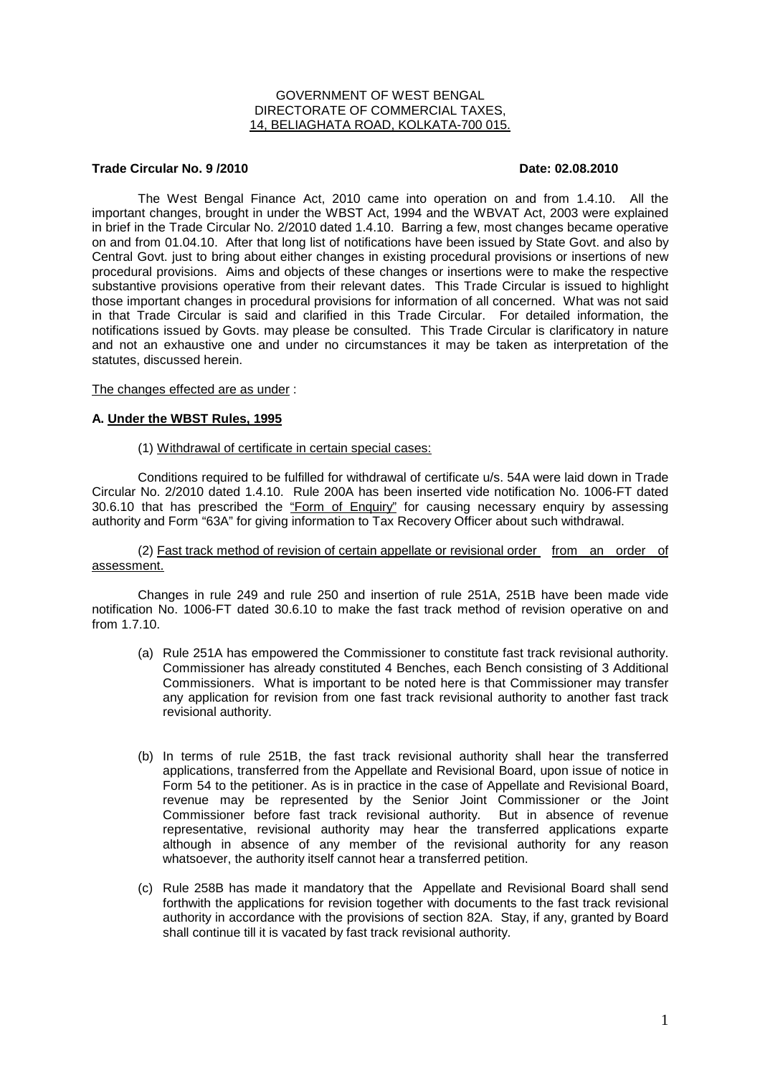# GOVERNMENT OF WEST BENGAL DIRECTORATE OF COMMERCIAL TAXES, 14, BELIAGHATA ROAD, KOLKATA-700 015.

# **Trade Circular No. 9 /2010 Date: 02.08.2010**

 The West Bengal Finance Act, 2010 came into operation on and from 1.4.10. All the important changes, brought in under the WBST Act, 1994 and the WBVAT Act, 2003 were explained in brief in the Trade Circular No. 2/2010 dated 1.4.10. Barring a few, most changes became operative on and from 01.04.10. After that long list of notifications have been issued by State Govt. and also by Central Govt. just to bring about either changes in existing procedural provisions or insertions of new procedural provisions. Aims and objects of these changes or insertions were to make the respective substantive provisions operative from their relevant dates. This Trade Circular is issued to highlight those important changes in procedural provisions for information of all concerned. What was not said in that Trade Circular is said and clarified in this Trade Circular. For detailed information, the notifications issued by Govts. may please be consulted. This Trade Circular is clarificatory in nature and not an exhaustive one and under no circumstances it may be taken as interpretation of the statutes, discussed herein.

### The changes effected are as under :

### **A. Under the WBST Rules, 1995**

### (1) Withdrawal of certificate in certain special cases:

Conditions required to be fulfilled for withdrawal of certificate u/s. 54A were laid down in Trade Circular No. 2/2010 dated 1.4.10. Rule 200A has been inserted vide notification No. 1006-FT dated 30.6.10 that has prescribed the "Form of Enquiry" for causing necessary enquiry by assessing authority and Form "63A" for giving information to Tax Recovery Officer about such withdrawal.

 (2) Fast track method of revision of certain appellate or revisional order from an order of assessment.

Changes in rule 249 and rule 250 and insertion of rule 251A, 251B have been made vide notification No. 1006-FT dated 30.6.10 to make the fast track method of revision operative on and from 1.7.10.

- (a) Rule 251A has empowered the Commissioner to constitute fast track revisional authority. Commissioner has already constituted 4 Benches, each Bench consisting of 3 Additional Commissioners. What is important to be noted here is that Commissioner may transfer any application for revision from one fast track revisional authority to another fast track revisional authority.
- (b) In terms of rule 251B, the fast track revisional authority shall hear the transferred applications, transferred from the Appellate and Revisional Board, upon issue of notice in Form 54 to the petitioner. As is in practice in the case of Appellate and Revisional Board, revenue may be represented by the Senior Joint Commissioner or the Joint Commissioner before fast track revisional authority. But in absence of revenue representative, revisional authority may hear the transferred applications exparte although in absence of any member of the revisional authority for any reason whatsoever, the authority itself cannot hear a transferred petition.
- (c) Rule 258B has made it mandatory that the Appellate and Revisional Board shall send forthwith the applications for revision together with documents to the fast track revisional authority in accordance with the provisions of section 82A. Stay, if any, granted by Board shall continue till it is vacated by fast track revisional authority.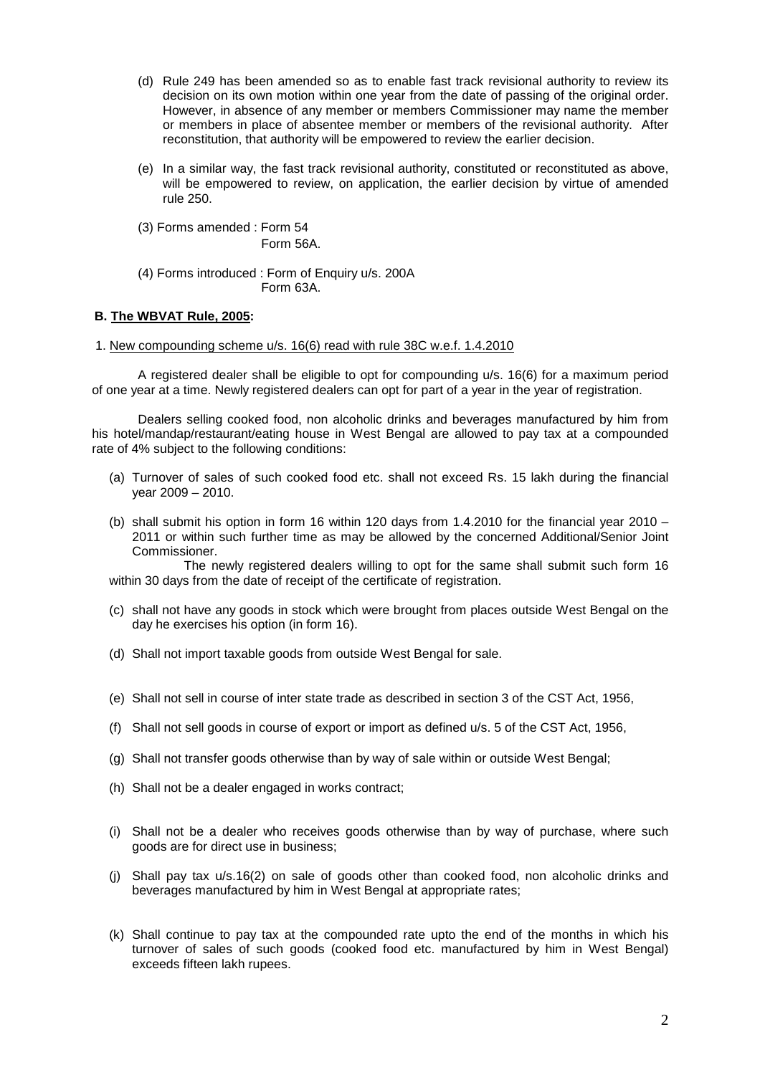- (d) Rule 249 has been amended so as to enable fast track revisional authority to review its decision on its own motion within one year from the date of passing of the original order. However, in absence of any member or members Commissioner may name the member or members in place of absentee member or members of the revisional authority. After reconstitution, that authority will be empowered to review the earlier decision.
- (e) In a similar way, the fast track revisional authority, constituted or reconstituted as above, will be empowered to review, on application, the earlier decision by virtue of amended rule 250.
- (3) Forms amended : Form 54 Form 56A.

(4) Forms introduced : Form of Enquiry u/s. 200A Form 63A.

# **B. The WBVAT Rule, 2005:**

# 1. New compounding scheme u/s. 16(6) read with rule 38C w.e.f. 1.4.2010

 A registered dealer shall be eligible to opt for compounding u/s. 16(6) for a maximum period of one year at a time. Newly registered dealers can opt for part of a year in the year of registration.

 Dealers selling cooked food, non alcoholic drinks and beverages manufactured by him from his hotel/mandap/restaurant/eating house in West Bengal are allowed to pay tax at a compounded rate of 4% subject to the following conditions:

- (a) Turnover of sales of such cooked food etc. shall not exceed Rs. 15 lakh during the financial year 2009 – 2010.
- (b) shall submit his option in form 16 within 120 days from 1.4.2010 for the financial year 2010 2011 or within such further time as may be allowed by the concerned Additional/Senior Joint Commissioner.

 The newly registered dealers willing to opt for the same shall submit such form 16 within 30 days from the date of receipt of the certificate of registration.

- (c) shall not have any goods in stock which were brought from places outside West Bengal on the day he exercises his option (in form 16).
- (d) Shall not import taxable goods from outside West Bengal for sale.
- (e) Shall not sell in course of inter state trade as described in section 3 of the CST Act, 1956,
- (f) Shall not sell goods in course of export or import as defined u/s. 5 of the CST Act, 1956,
- (g) Shall not transfer goods otherwise than by way of sale within or outside West Bengal;
- (h) Shall not be a dealer engaged in works contract;
- (i) Shall not be a dealer who receives goods otherwise than by way of purchase, where such goods are for direct use in business;
- (j) Shall pay tax u/s.16(2) on sale of goods other than cooked food, non alcoholic drinks and beverages manufactured by him in West Bengal at appropriate rates;
- (k) Shall continue to pay tax at the compounded rate upto the end of the months in which his turnover of sales of such goods (cooked food etc. manufactured by him in West Bengal) exceeds fifteen lakh rupees.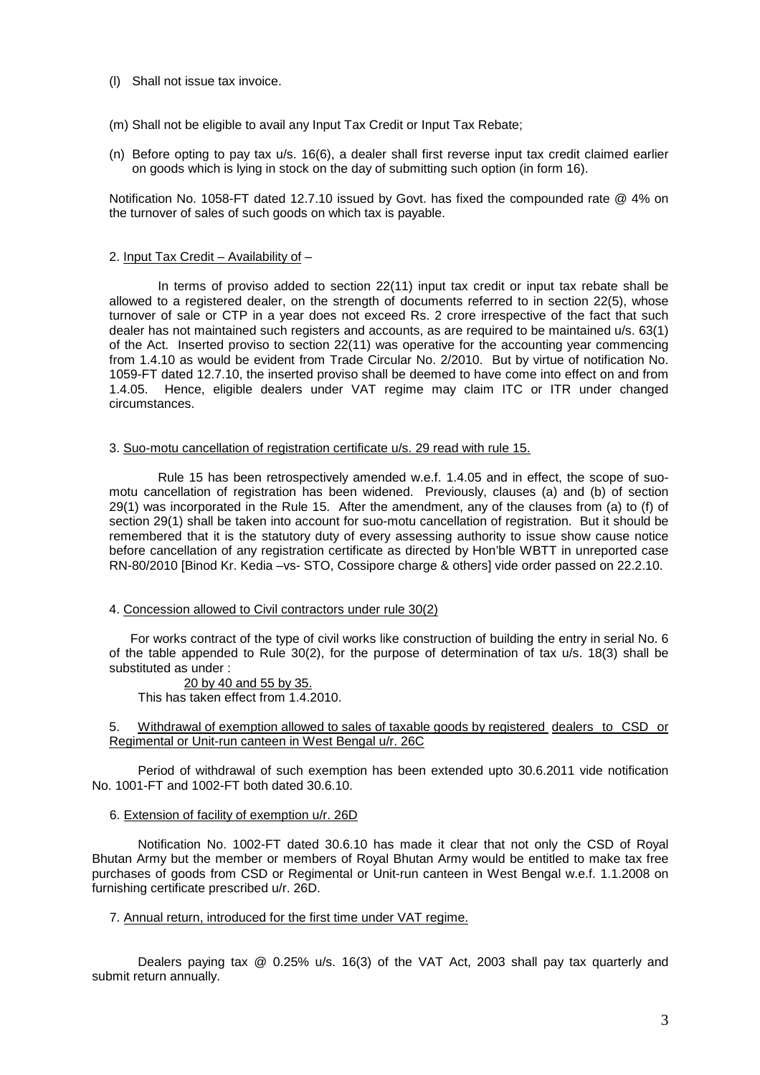- (l) Shall not issue tax invoice.
- (m) Shall not be eligible to avail any Input Tax Credit or Input Tax Rebate;
- (n) Before opting to pay tax u/s. 16(6), a dealer shall first reverse input tax credit claimed earlier on goods which is lying in stock on the day of submitting such option (in form 16).

Notification No. 1058-FT dated 12.7.10 issued by Govt. has fixed the compounded rate @ 4% on the turnover of sales of such goods on which tax is payable.

# 2. Input Tax Credit – Availability of –

 In terms of proviso added to section 22(11) input tax credit or input tax rebate shall be allowed to a registered dealer, on the strength of documents referred to in section 22(5), whose turnover of sale or CTP in a year does not exceed Rs. 2 crore irrespective of the fact that such dealer has not maintained such registers and accounts, as are required to be maintained u/s. 63(1) of the Act. Inserted proviso to section 22(11) was operative for the accounting year commencing from 1.4.10 as would be evident from Trade Circular No. 2/2010. But by virtue of notification No. 1059-FT dated 12.7.10, the inserted proviso shall be deemed to have come into effect on and from 1.4.05. Hence, eligible dealers under VAT regime may claim ITC or ITR under changed circumstances.

### 3. Suo-motu cancellation of registration certificate u/s. 29 read with rule 15.

 Rule 15 has been retrospectively amended w.e.f. 1.4.05 and in effect, the scope of suomotu cancellation of registration has been widened. Previously, clauses (a) and (b) of section 29(1) was incorporated in the Rule 15. After the amendment, any of the clauses from (a) to (f) of section 29(1) shall be taken into account for suo-motu cancellation of registration. But it should be remembered that it is the statutory duty of every assessing authority to issue show cause notice before cancellation of any registration certificate as directed by Hon'ble WBTT in unreported case RN-80/2010 [Binod Kr. Kedia –vs- STO, Cossipore charge & others] vide order passed on 22.2.10.

# 4. Concession allowed to Civil contractors under rule 30(2)

 For works contract of the type of civil works like construction of building the entry in serial No. 6 of the table appended to Rule 30(2), for the purpose of determination of tax u/s. 18(3) shall be substituted as under :

 20 by 40 and 55 by 35. This has taken effect from 1.4.2010.

5. Withdrawal of exemption allowed to sales of taxable goods by registered dealers to CSD or Regimental or Unit-run canteen in West Bengal u/r. 26C

 Period of withdrawal of such exemption has been extended upto 30.6.2011 vide notification No. 1001-FT and 1002-FT both dated 30.6.10.

# 6. Extension of facility of exemption u/r. 26D

 Notification No. 1002-FT dated 30.6.10 has made it clear that not only the CSD of Royal Bhutan Army but the member or members of Royal Bhutan Army would be entitled to make tax free purchases of goods from CSD or Regimental or Unit-run canteen in West Bengal w.e.f. 1.1.2008 on furnishing certificate prescribed u/r. 26D.

# 7. Annual return, introduced for the first time under VAT regime.

 Dealers paying tax @ 0.25% u/s. 16(3) of the VAT Act, 2003 shall pay tax quarterly and submit return annually.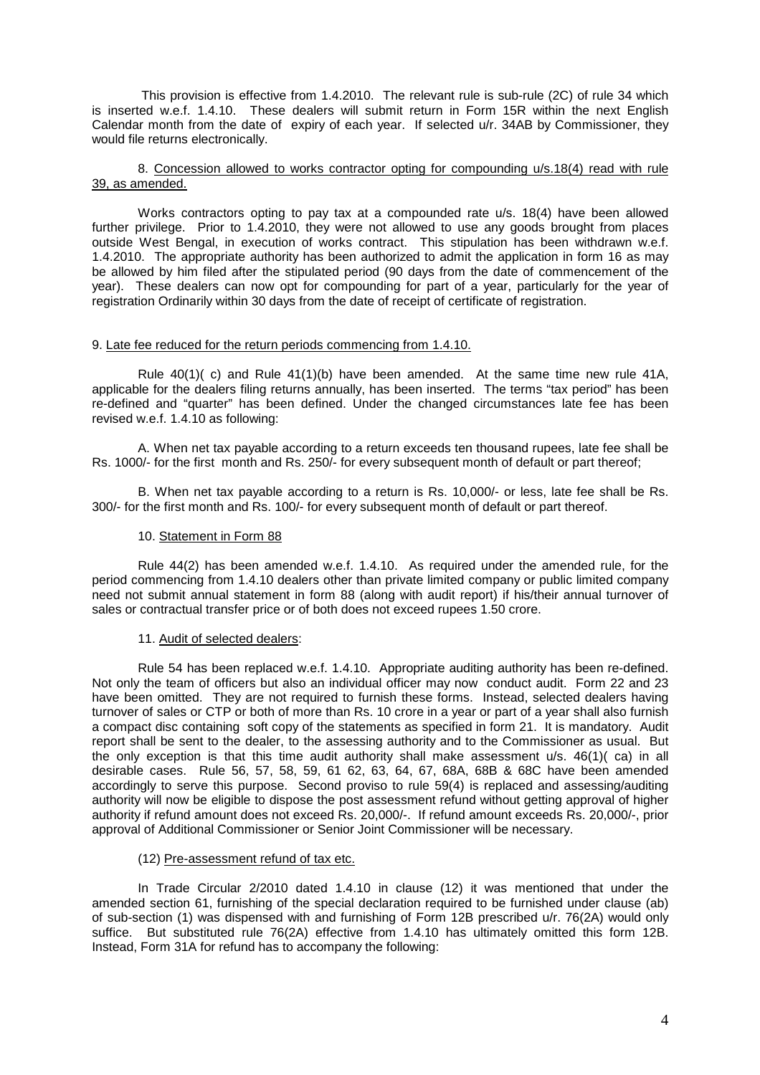This provision is effective from 1.4.2010. The relevant rule is sub-rule (2C) of rule 34 which is inserted w.e.f. 1.4.10. These dealers will submit return in Form 15R within the next English Calendar month from the date of expiry of each year. If selected u/r. 34AB by Commissioner, they would file returns electronically.

 8. Concession allowed to works contractor opting for compounding u/s.18(4) read with rule 39, as amended.

 Works contractors opting to pay tax at a compounded rate u/s. 18(4) have been allowed further privilege. Prior to 1.4.2010, they were not allowed to use any goods brought from places outside West Bengal, in execution of works contract. This stipulation has been withdrawn w.e.f. 1.4.2010. The appropriate authority has been authorized to admit the application in form 16 as may be allowed by him filed after the stipulated period (90 days from the date of commencement of the year). These dealers can now opt for compounding for part of a year, particularly for the year of registration Ordinarily within 30 days from the date of receipt of certificate of registration.

# 9. Late fee reduced for the return periods commencing from 1.4.10.

Rule  $40(1)$ ( c) and Rule  $41(1)$ (b) have been amended. At the same time new rule  $41A$ , applicable for the dealers filing returns annually, has been inserted. The terms "tax period" has been re-defined and "quarter" has been defined. Under the changed circumstances late fee has been revised w.e.f. 1.4.10 as following:

 A. When net tax payable according to a return exceeds ten thousand rupees, late fee shall be Rs. 1000/- for the first month and Rs. 250/- for every subsequent month of default or part thereof;

 B. When net tax payable according to a return is Rs. 10,000/- or less, late fee shall be Rs. 300/- for the first month and Rs. 100/- for every subsequent month of default or part thereof.

### 10. Statement in Form 88

 Rule 44(2) has been amended w.e.f. 1.4.10. As required under the amended rule, for the period commencing from 1.4.10 dealers other than private limited company or public limited company need not submit annual statement in form 88 (along with audit report) if his/their annual turnover of sales or contractual transfer price or of both does not exceed rupees 1.50 crore.

#### 11. Audit of selected dealers:

 Rule 54 has been replaced w.e.f. 1.4.10. Appropriate auditing authority has been re-defined. Not only the team of officers but also an individual officer may now conduct audit. Form 22 and 23 have been omitted. They are not required to furnish these forms. Instead, selected dealers having turnover of sales or CTP or both of more than Rs. 10 crore in a year or part of a year shall also furnish a compact disc containing soft copy of the statements as specified in form 21. It is mandatory. Audit report shall be sent to the dealer, to the assessing authority and to the Commissioner as usual. But the only exception is that this time audit authority shall make assessment u/s. 46(1)( ca) in all desirable cases. Rule 56, 57, 58, 59, 61 62, 63, 64, 67, 68A, 68B & 68C have been amended accordingly to serve this purpose. Second proviso to rule 59(4) is replaced and assessing/auditing authority will now be eligible to dispose the post assessment refund without getting approval of higher authority if refund amount does not exceed Rs. 20,000/-. If refund amount exceeds Rs. 20,000/-, prior approval of Additional Commissioner or Senior Joint Commissioner will be necessary.

# (12) Pre-assessment refund of tax etc.

 In Trade Circular 2/2010 dated 1.4.10 in clause (12) it was mentioned that under the amended section 61, furnishing of the special declaration required to be furnished under clause (ab) of sub-section (1) was dispensed with and furnishing of Form 12B prescribed u/r. 76(2A) would only suffice. But substituted rule 76(2A) effective from 1.4.10 has ultimately omitted this form 12B. Instead, Form 31A for refund has to accompany the following: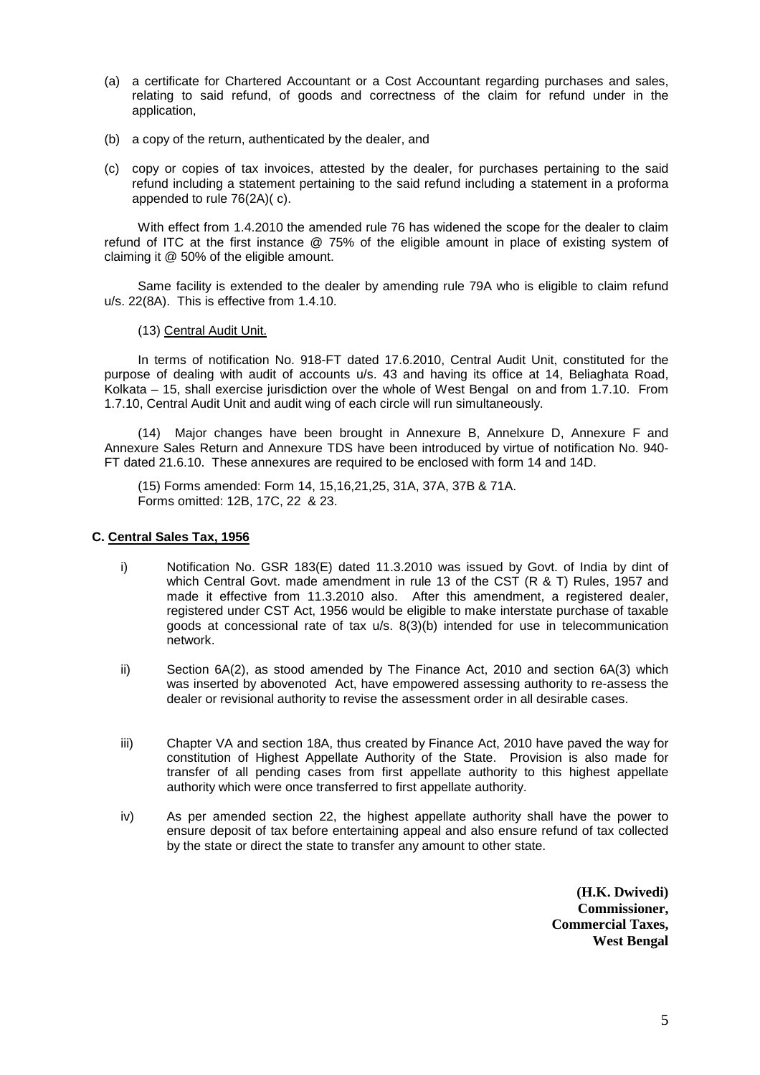- (a) a certificate for Chartered Accountant or a Cost Accountant regarding purchases and sales, relating to said refund, of goods and correctness of the claim for refund under in the application,
- (b) a copy of the return, authenticated by the dealer, and
- (c) copy or copies of tax invoices, attested by the dealer, for purchases pertaining to the said refund including a statement pertaining to the said refund including a statement in a proforma appended to rule 76(2A)( c).

 With effect from 1.4.2010 the amended rule 76 has widened the scope for the dealer to claim refund of ITC at the first instance @ 75% of the eligible amount in place of existing system of claiming it @ 50% of the eligible amount.

 Same facility is extended to the dealer by amending rule 79A who is eligible to claim refund u/s. 22(8A). This is effective from 1.4.10.

(13) Central Audit Unit.

 In terms of notification No. 918-FT dated 17.6.2010, Central Audit Unit, constituted for the purpose of dealing with audit of accounts u/s. 43 and having its office at 14, Beliaghata Road, Kolkata – 15, shall exercise jurisdiction over the whole of West Bengal on and from 1.7.10. From 1.7.10, Central Audit Unit and audit wing of each circle will run simultaneously.

 (14) Major changes have been brought in Annexure B, Annelxure D, Annexure F and Annexure Sales Return and Annexure TDS have been introduced by virtue of notification No. 940- FT dated 21.6.10. These annexures are required to be enclosed with form 14 and 14D.

 (15) Forms amended: Form 14, 15,16,21,25, 31A, 37A, 37B & 71A. Forms omitted: 12B, 17C, 22 & 23.

# **C. Central Sales Tax, 1956**

- i) Notification No. GSR 183(E) dated 11.3.2010 was issued by Govt. of India by dint of which Central Govt. made amendment in rule 13 of the CST (R & T) Rules, 1957 and made it effective from 11.3.2010 also. After this amendment, a registered dealer, registered under CST Act, 1956 would be eligible to make interstate purchase of taxable goods at concessional rate of tax  $u/s$ .  $8(3)(b)$  intended for use in telecommunication network.
- ii) Section 6A(2), as stood amended by The Finance Act, 2010 and section 6A(3) which was inserted by abovenoted Act, have empowered assessing authority to re-assess the dealer or revisional authority to revise the assessment order in all desirable cases.
- iii) Chapter VA and section 18A, thus created by Finance Act, 2010 have paved the way for constitution of Highest Appellate Authority of the State. Provision is also made for transfer of all pending cases from first appellate authority to this highest appellate authority which were once transferred to first appellate authority.
- iv) As per amended section 22, the highest appellate authority shall have the power to ensure deposit of tax before entertaining appeal and also ensure refund of tax collected by the state or direct the state to transfer any amount to other state.

**(H.K. Dwivedi) Commissioner, Commercial Taxes, West Bengal**